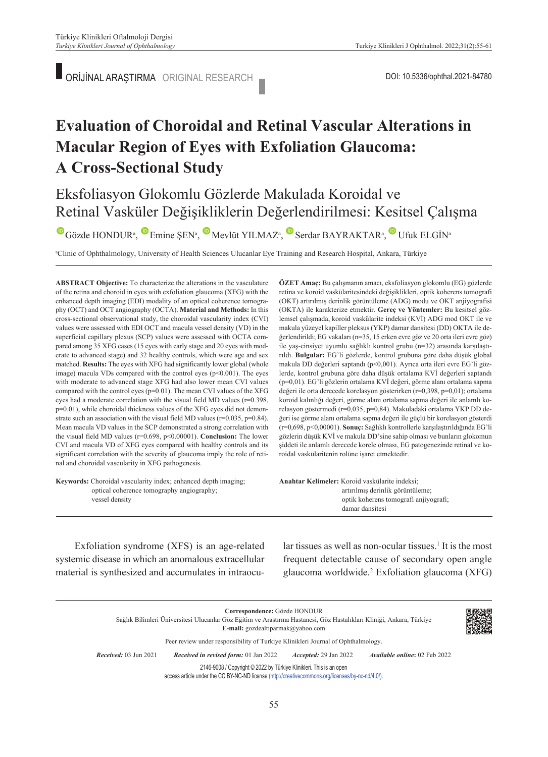ORİJİNAL ARAŞTIRMA ORIGINAL RESEARCH

# **Evaluation of Choroidal and Retinal Vascular Alterations in Macular Region of Eyes with Exfoliation Glaucoma: A Cross-Sectional Study**

# Eksfoliasyon Glokomlu Gözlerde Makulada Koroidal ve Retinal Vasküler Değişikliklerin Değerlendirilmesi: Kesitsel Çalışma

GözdeHONDUR<sup>a</sup>, Emine ŞEN<sup>a</sup>, Mevlüt YILMAZ<sup>a</sup>, Serdar BAYRAKTAR<sup>a</sup>, Ufuk ELGİNa

a Clinic of Ophthalmology, University of Health Sciences Ulucanlar Eye Training and Research Hospital, Ankara, Türkiye

**ABS TRACT Objective:** To characterize the alterations in the vasculature of the retina and choroid in eyes with exfoliation glaucoma (XFG) with the enhanced depth imaging (EDI) modality of an optical coherence tomography (OCT) and OCT angiography (OCTA). **Material and Methods:** In this cross-sectional observational study, the choroidal vascularity index (CVI) values were assessed with EDI OCT and macula vessel density (VD) in the superficial capillary plexus (SCP) values were assessed with OCTA compared among 35 XFG cases (15 eyes with early stage and 20 eyes with moderate to advanced stage) and 32 healthy controls, which were age and sex matched. **Results:** The eyes with XFG had significantly lower global (whole image) macula VDs compared with the control eyes (p<0.001). The eyes with moderate to advanced stage XFG had also lower mean CVI values compared with the control eyes (p=0.01). The mean CVI values of the XFG eyes had a moderate correlation with the visual field MD values (r=0.398, p=0.01), while choroidal thickness values of the XFG eyes did not demonstrate such an association with the visual field MD values ( $r=0.035$ ,  $p=0.84$ ). Mean macula VD values in the SCP demonstrated a strong correlation with the visual field MD values (r=0.698, p<0.00001). **Conclusion:** The lower CVI and macula VD of XFG eyes compared with healthy controls and its significant correlation with the severity of glaucoma imply the role of retinal and choroidal vascularity in XFG pathogenesis.

**Keywords:** Choroidal vascularity index; enhanced depth imaging; optical coherence tomography angiography; vessel density

**ÖZET Amaç:** Bu çalışmanın amacı, eksfoliasyon glokomlu (EG) gözlerde retina ve koroid vaskülaritesindeki değişiklikleri, optik koherens tomografi (OKT) artırılmış derinlik görüntüleme (ADG) modu ve OKT anjiyografisi (OKTA) ile karakterize etmektir. **Gereç ve Yöntemler:** Bu kesitsel gözlemsel çalışmada, koroid vaskülarite indeksi (KVİ) ADG mod OKT ile ve makula yüzeyel kapiller pleksus (YKP) damar dansitesi (DD) OKTA ile değerlendirildi; EG vakaları (n=35, 15 erken evre göz ve 20 orta ileri evre göz) ile yaş-cinsiyet uyumlu sağlıklı kontrol grubu (n=32) arasında karşılaştırıldı. **Bulgular:** EG'li gözlerde, kontrol grubuna göre daha düşük global makula DD değerleri saptandı (p<0,001). Ayrıca orta ileri evre EG'li gözlerde, kontrol grubuna göre daha düşük ortalama KVİ değerleri saptandı (p=0,01). EG'li gözlerin ortalama KVİ değeri, görme alanı ortalama sapma değeri ile orta derecede korelasyon gösterirken (r=0,398, p=0,01); ortalama koroid kalınlığı değeri, görme alanı ortalama sapma değeri ile anlamlı korelasyon göstermedi (r=0,035, p=0,84). Makuladaki ortalama YKP DD değeri ise görme alanı ortalama sapma değeri ile güçlü bir korelasyon gösterdi (r=0,698, p<0,00001). **Sonuç:** Sağlıklı kontrollerle karşılaştırıldığında EG'li gözlerin düşük KVİ ve makula DD'sine sahip olması ve bunların glokomun şiddeti ile anlamlı derecede korele olması, EG patogenezinde retinal ve koroidal vaskülaritenin rolüne işaret etmektedir.

Anahtar Kelimeler: Koroid vaskülarite indeksi; artırılmış derinlik görüntüleme; optik koherens tomografi anjiyografi; damar dansitesi

Exfoliation syndrome (XFS) is an age-related systemic disease in which an anomalous extracellular material is synthesized and accumulates in intraocu-

lar tissues as well as non-ocular tissues.<sup>1</sup> It is the most frequent detectable cause of secondary open angle glaucoma worldwide[.2](#page-6-0) Exfoliation glaucoma (XFG)

**Correspondence:** Gözde HONDUR Sağlık Bilimleri Üniversitesi Ulucanlar Göz Eğitim ve Araştırma Hastanesi, Göz Hastalıkları Kliniği, Ankara, Türkiye **E-mail:** gozdealtiparmak@yahoo.com Peer review under responsibility of Turkiye Klinikleri Journal of Ophthalmology. *Re ce i ved:* 03 Jun 2021 *Received in revised form:* 01 Jan 2022 *Ac cep ted:* 29 Jan 2022 *Available online***:** 02 Feb 2022 2146-9008 / Copyright © 2022 by Türkiye Klinikleri. This is an open access article under the CC BY-NC-ND license [\(http://creativecommons.org/licenses/by-nc-nd/4.0/\)](https://creativecommons.org/licenses/by-nc-nd/4.0/).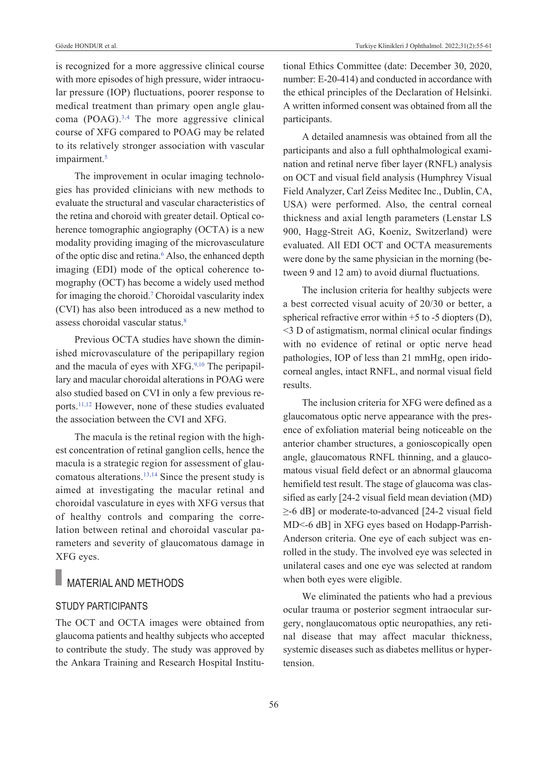is recognized for a more aggressive clinical course with more episodes of high pressure, wider intraocular pressure (IOP) fluctuations, poorer response to medical treatment than primary open angle glaucoma (POAG)[.3,4](#page-6-0) The more aggressive clinical course of XFG compared to POAG may be related to its relatively stronger association with vascular impairment.<sup>5</sup>

The improvement in ocular imaging technologies has provided clinicians with new methods to evaluate the structural and vascular characteristics of the retina and choroid with greater detail. Optical coherence tomographic angiography (OCTA) is a new modality providing imaging of the microvasculature of the optic disc and retina.<sup>6</sup> Also, the enhanced depth imaging (EDI) mode of the optical coherence tomography (OCT) has become a widely used method for imaging the choroid[.7](#page-6-0) Choroidal vascularity index (CVI) has also been introduced as a new method to assess choroidal vascular status[.8](#page-6-0)

Previous OCTA studies have shown the diminished microvasculature of the peripapillary region and the macula of eyes with XFG.<sup>9,10</sup> The peripapillary and macular choroidal alterations in POAG were also studied based on CVI in only a few previous reports[.11,12](#page-6-0) However, none of these studies evaluated the association between the CVI and XFG.

The macula is the retinal region with the highest concentration of retinal ganglion cells, hence the macula is a strategic region for assessment of glaucomatous alterations[.13,14](#page-6-0) Since the present study is aimed at investigating the macular retinal and choroidal vasculature in eyes with XFG versus that of healthy controls and comparing the correlation between retinal and choroidal vascular parameters and severity of glaucomatous damage in XFG eyes.

### MATERIAL AND METHODS

### STuDY PARTICIPANTS

The OCT and OCTA images were obtained from glaucoma patients and healthy subjects who accepted to contribute the study. The study was approved by the Ankara Training and Research Hospital Institutional Ethics Committee (date: December 30, 2020, number: E-20-414) and conducted in accordance with the ethical principles of the Declaration of Helsinki. A written informed consent was obtained from all the participants.

A detailed anamnesis was obtained from all the participants and also a full ophthalmological examination and retinal nerve fiber layer (RNFL) analysis on OCT and visual field analysis (Humphrey Visual Field Analyzer, Carl Zeiss Meditec Inc., Dublin, CA, USA) were performed. Also, the central corneal thickness and axial length parameters (Lenstar LS 900, Hagg-Streit AG, Koeniz, Switzerland) were evaluated. All EDI OCT and OCTA measurements were done by the same physician in the morning (between 9 and 12 am) to avoid diurnal fluctuations.

The inclusion criteria for healthy subjects were a best corrected visual acuity of 20/30 or better, a spherical refractive error within  $+5$  to  $-5$  diopters (D), <3 D of astigmatism, normal clinical ocular findings with no evidence of retinal or optic nerve head pathologies, IOP of less than 21 mmHg, open iridocorneal angles, intact RNFL, and normal visual field results.

The inclusion criteria for XFG were defined as a glaucomatous optic nerve appearance with the presence of exfoliation material being noticeable on the anterior chamber structures, a gonioscopically open angle, glaucomatous RNFL thinning, and a glaucomatous visual field defect or an abnormal glaucoma hemifield test result. The stage of glaucoma was classified as early [24-2 visual field mean deviation (MD) ≥-6 dB] or moderate-to-advanced [24-2 visual field MD<-6 dB] in XFG eyes based on Hodapp-Parrish-Anderson criteria. One eye of each subject was enrolled in the study. The involved eye was selected in unilateral cases and one eye was selected at random when both eyes were eligible.

We eliminated the patients who had a previous ocular trauma or posterior segment intraocular surgery, nonglaucomatous optic neuropathies, any retinal disease that may affect macular thickness, systemic diseases such as diabetes mellitus or hypertension.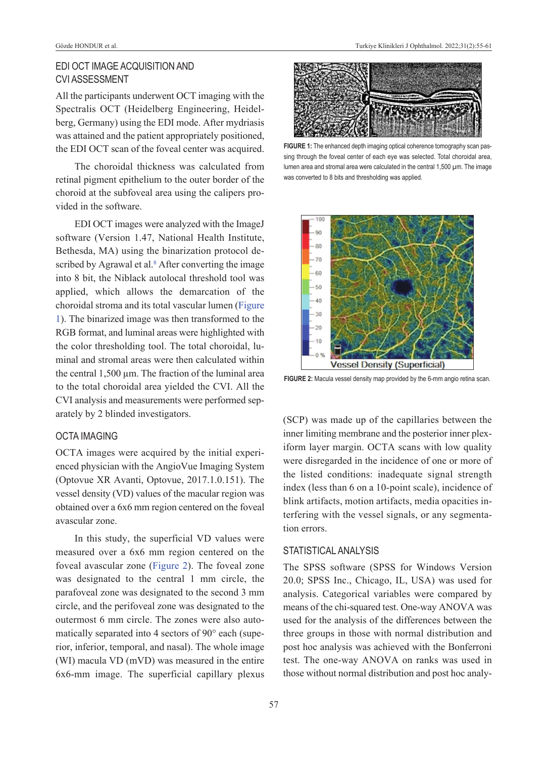### EDI OCT IMAGE ACquISITION AND CVI ASSESSMENT

All the participants underwent OCT imaging with the Spectralis OCT (Heidelberg Engineering, Heidelberg, Germany) using the EDI mode. After mydriasis was attained and the patient appropriately positioned, the EDI OCT scan of the foveal center was acquired.

The choroidal thickness was calculated from retinal pigment epithelium to the outer border of the choroid at the subfoveal area using the calipers provided in the software.

EDI OCT images were analyzed with the ImageJ software (Version 1.47, National Health Institute, Bethesda, MA) using the binarization protocol described by Agrawal et al.<sup>8</sup> After converting the image into 8 bit, the Niblack autolocal threshold tool was applied, which allows the demarcation of the choroidal stroma and its total vascular lumen [\(Figure](#page-2-0)  [1\)](#page-2-0). The binarized image was then transformed to the RGB format, and luminal areas were highlighted with the color thresholding tool. The total choroidal, luminal and stromal areas were then calculated within the central 1,500 µm. The fraction of the luminal area to the total choroidal area yielded the CVI. All the CVI analysis and measurements were performed separately by 2 blinded investigators.

### OCTA IMAGING

OCTA images were acquired by the initial experienced physician with the AngioVue Imaging System (Optovue XR Avanti, Optovue, 2017.1.0.151). The vessel density (VD) values of the macular region was obtained over a 6x6 mm region centered on the foveal avascular zone.

In this study, the superficial VD values were measured over a 6x6 mm region centered on the foveal avascular zone [\(Figure 2\)](#page-2-1). The foveal zone was designated to the central 1 mm circle, the parafoveal zone was designated to the second 3 mm circle, and the perifoveal zone was designated to the outermost 6 mm circle. The zones were also automatically separated into 4 sectors of 90° each (superior, inferior, temporal, and nasal). The whole image (WI) macula VD (mVD) was measured in the entire 6x6-mm image. The superficial capillary plexus



FIGURE 1: The enhanced depth imaging optical coherence tomography scan passing through the foveal center of each eye was selected. Total choroidal area, lumen area and stromal area were calculated in the central 1,500 µm. The image was converted to 8 bits and thresholding was applied.

<span id="page-2-0"></span>

<span id="page-2-1"></span>**FIGURE 2:** Macula vessel density map provided by the 6-mm angio retina scan.

(SCP) was made up of the capillaries between the inner limiting membrane and the posterior inner plexiform layer margin. OCTA scans with low quality were disregarded in the incidence of one or more of the listed conditions: inadequate signal strength index (less than 6 on a 10-point scale), incidence of blink artifacts, motion artifacts, media opacities interfering with the vessel signals, or any segmentation errors.

### STATISTICAL ANALYSIS

The SPSS software (SPSS for Windows Version 20.0; SPSS Inc., Chicago, IL, USA) was used for analysis. Categorical variables were compared by means of the chi-squared test. One-way ANOVA was used for the analysis of the differences between the three groups in those with normal distribution and post hoc analysis was achieved with the Bonferroni test. The one-way ANOVA on ranks was used in those without normal distribution and post hoc analy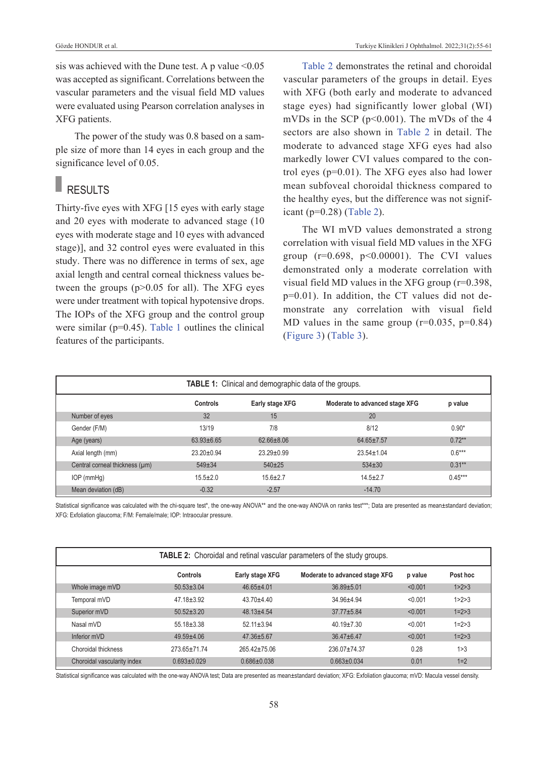sis was achieved with the Dune test. A p value  $\leq 0.05$ was accepted as significant. Correlations between the vascular parameters and the visual field MD values were evaluated using Pearson correlation analyses in XFG patients.

The power of the study was 0.8 based on a sample size of more than 14 eyes in each group and the significance level of 0.05.

## **RESULTS**

Thirty-five eyes with XFG [15 eyes with early stage and 20 eyes with moderate to advanced stage (10 eyes with moderate stage and 10 eyes with advanced stage)], and 32 control eyes were evaluated in this study. There was no difference in terms of sex, age axial length and central corneal thickness values between the groups (p>0.05 for all). The XFG eyes were under treatment with topical hypotensive drops. The IOPs of the XFG group and the control group were similar (p=0.45). [Table 1](#page-3-0) outlines the clinical features of the participants.

[Table 2](#page-3-1) demonstrates the retinal and choroidal vascular parameters of the groups in detail. Eyes with XFG (both early and moderate to advanced stage eyes) had significantly lower global (WI) mVDs in the SCP ( $p<0.001$ ). The mVDs of the 4 sectors are also shown in [Table 2](#page-3-1) in detail. The moderate to advanced stage XFG eyes had also markedly lower CVI values compared to the control eyes (p=0.01). The XFG eyes also had lower mean subfoveal choroidal thickness compared to the healthy eyes, but the difference was not significant (p=0.28) [\(Table 2\)](#page-3-1).

<span id="page-3-1"></span><span id="page-3-0"></span>The WI mVD values demonstrated a strong correlation with visual field MD values in the XFG group (r=0.698, p<0.00001). The CVI values demonstrated only a moderate correlation with visual field MD values in the XFG group (r=0.398, p=0.01). In addition, the CT values did not demonstrate any correlation with visual field MD values in the same group  $(r=0.035, p=0.84)$ [\(Figure 3\)](#page-4-0) [\(Table 3\)](#page-4-1).

| <b>TABLE 1:</b> Clinical and demographic data of the groups. |                  |                  |                                |           |  |  |
|--------------------------------------------------------------|------------------|------------------|--------------------------------|-----------|--|--|
|                                                              | Controls         | Early stage XFG  | Moderate to advanced stage XFG | p value   |  |  |
| Number of eyes                                               | 32               | 15               | 20                             |           |  |  |
| Gender (F/M)                                                 | 13/19            | 7/8              | 8/12                           | $0.90*$   |  |  |
| Age (years)                                                  | $63.93 + 6.65$   | $62.66 \pm 8.06$ | $64.65 \pm 7.57$               | $0.72**$  |  |  |
| Axial length (mm)                                            | $23.20 \pm 0.94$ | $23.29 \pm 0.99$ | $23.54 \pm 1.04$               | $0.6***$  |  |  |
| Central corneal thickness (µm)                               | $549 \pm 34$     | $540+25$         | $534 + 30$                     | $0.31**$  |  |  |
| $IOP$ (mm $Hg$ )                                             | $15.5 \pm 2.0$   | $15.6 \pm 2.7$   | $14.5 + 2.7$                   | $0.45***$ |  |  |
| Mean deviation (dB)                                          | $-0.32$          | $-2.57$          | $-14.70$                       |           |  |  |

Statistical significance was calculated with the chi-square test\*, the one-way ANOVA\*\* and the one-way ANOVA on ranks test\*\*\*; Data are presented as mean±standard deviation; XFG: Exfoliation glaucoma; F/M: Female/male; IOP: Intraocular pressure.

| <b>TABLE 2:</b> Choroidal and retinal vascular parameters of the study groups. |                  |                    |                                |         |             |  |  |
|--------------------------------------------------------------------------------|------------------|--------------------|--------------------------------|---------|-------------|--|--|
|                                                                                | Controls         | Early stage XFG    | Moderate to advanced stage XFG | p value | Post hoc    |  |  |
| Whole image mVD                                                                | $50.53 \pm 3.04$ | $46.65 + 4.01$     | $36.89 + 5.01$                 | < 0.001 | 1 > 2 > 3   |  |  |
| Temporal mVD                                                                   | $47.18 \pm 3.92$ | $43.70 + 4.40$     | $34.96 + 4.94$                 | < 0.001 | 1 > 2 > 3   |  |  |
| Superior mVD                                                                   | $50.52 + 3.20$   | $48.13 + 4.54$     | $37.77 + 5.84$                 | < 0.001 | $1 = 2 > 3$ |  |  |
| Nasal mVD                                                                      | $55.18 \pm 3.38$ | $52.11 \pm 3.94$   | $40.19 \pm 7.30$               | < 0.001 | $1 = 2 > 3$ |  |  |
| Inferior mVD                                                                   | $49.59 + 4.06$   | $47.36 \pm 5.67$   | $36.47 + 6.47$                 | < 0.001 | $1 = 2 > 3$ |  |  |
| Choroidal thickness                                                            | 273.65±71.74     | $265.42 \pm 75.06$ | 236.07±74.37                   | 0.28    | 1 > 3       |  |  |
| Choroidal vascularity index                                                    | $0.693 + 0.029$  | $0.686 + 0.038$    | $0.663 \pm 0.034$              | 0.01    | $1 = 2$     |  |  |

Statistical significance was calculated with the one-way ANOVA test; Data are presented as mean±standard deviation; XFG: Exfoliation glaucoma; mVD: Macula vessel density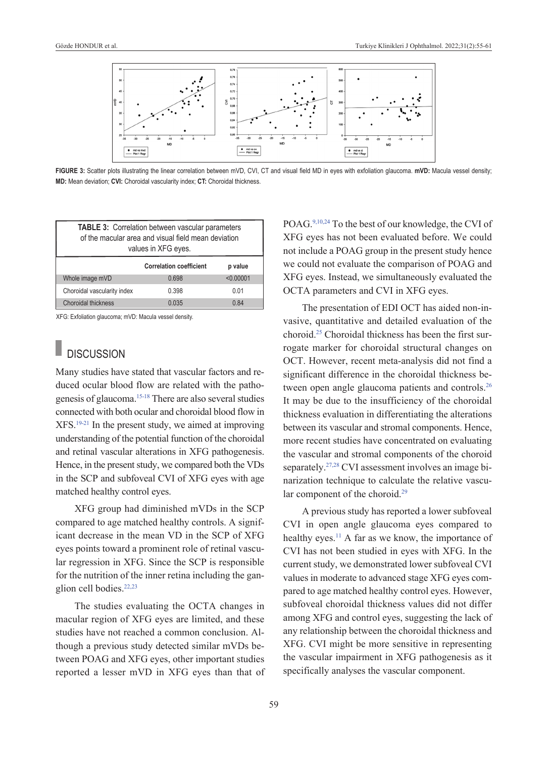

**FIGURE 3:** Scatter plots illustrating the linear correlation between mVD, CVI, CT and visual field MD in eyes with exfoliation glaucoma. **mVD:** Macula vessel density; **MD:** Mean deviation; **CVI:** Choroidal vascularity index; **CT:** Choroidal thickness.

| <b>TABLE 3: Correlation between vascular parameters</b><br>of the macular area and visual field mean deviation<br>values in XFG eyes. |                                |           |  |  |  |
|---------------------------------------------------------------------------------------------------------------------------------------|--------------------------------|-----------|--|--|--|
|                                                                                                                                       | <b>Correlation coefficient</b> | p value   |  |  |  |
| Whole image mVD                                                                                                                       | 0.698                          | < 0.00001 |  |  |  |
| Choroidal vascularity index                                                                                                           | 0.398                          | 0.01      |  |  |  |
| <b>Choroidal thickness</b>                                                                                                            | 0.035                          | 0.84      |  |  |  |

XFG: Exfoliation glaucoma; mVD: Macula vessel density.

## **DISCUSSION**

Many studies have stated that vascular factors and reduced ocular blood flow are related with the pathogenesis of glaucoma[.15-18](#page-6-0) There are also several studies connected with both ocular and choroidal blood flow in XFS[.19-21](#page-6-0) In the present study, we aimed at improving understanding of the potential function of the choroidal and retinal vascular alterations in XFG pathogenesis. Hence, in the present study, we compared both the VDs in the SCP and subfoveal CVI of XFG eyes with age matched healthy control eyes.

XFG group had diminished mVDs in the SCP compared to age matched healthy controls. A significant decrease in the mean VD in the SCP of XFG eyes points toward a prominent role of retinal vascular regression in XFG. Since the SCP is responsible for the nutrition of the inner retina including the ganglion cell bodies[.22,23](#page-6-0)

The studies evaluating the OCTA changes in macular region of XFG eyes are limited, and these studies have not reached a common conclusion. Although a previous study detected similar mVDs between POAG and XFG eyes, other important studies reported a lesser mVD in XFG eyes than that of <span id="page-4-1"></span><span id="page-4-0"></span>POAG[.9,10,24](#page-6-0) To the best of our knowledge, the CVI of XFG eyes has not been evaluated before. We could not include a POAG group in the present study hence we could not evaluate the comparison of POAG and XFG eyes. Instead, we simultaneously evaluated the OCTA parameters and CVI in XFG eyes.

The presentation of EDI OCT has aided non-invasive, quantitative and detailed evaluation of the choroid[.25](#page-6-0) Choroidal thickness has been the first surrogate marker for choroidal structural changes on OCT. However, recent meta-analysis did not find a significant difference in the choroidal thickness between open angle glaucoma patients and controls.<sup>26</sup> It may be due to the insufficiency of the choroidal thickness evaluation in differentiating the alterations between its vascular and stromal components. Hence, more recent studies have concentrated on evaluating the vascular and stromal components of the choroid separately.<sup>27,28</sup> CVI assessment involves an image binarization technique to calculate the relative vascular component of the choroid.<sup>29</sup>

A previous study has reported a lower subfoveal CVI in open angle glaucoma eyes compared to healthy eyes.<sup>11</sup> A far as we know, the importance of CVI has not been studied in eyes with XFG. In the current study, we demonstrated lower subfoveal CVI values in moderate to advanced stage XFG eyes compared to age matched healthy control eyes. However, subfoveal choroidal thickness values did not differ among XFG and control eyes, suggesting the lack of any relationship between the choroidal thickness and XFG. CVI might be more sensitive in representing the vascular impairment in XFG pathogenesis as it specifically analyses the vascular component.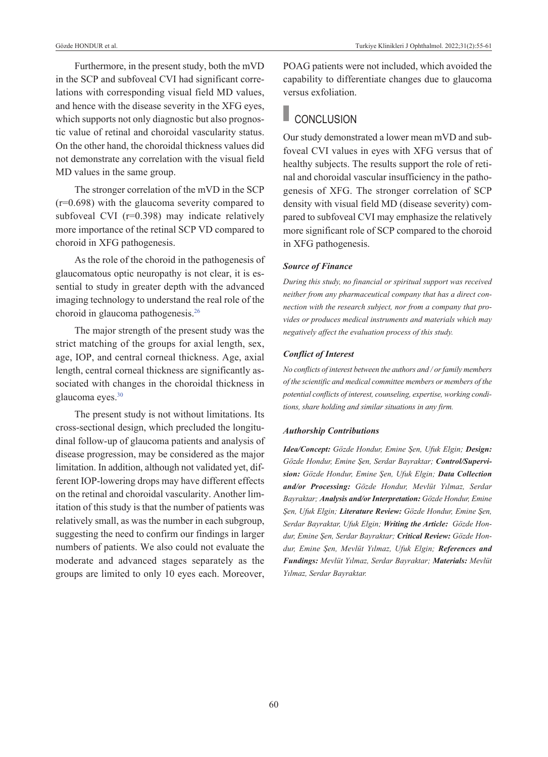Furthermore, in the present study, both the mVD in the SCP and subfoveal CVI had significant correlations with corresponding visual field MD values, and hence with the disease severity in the XFG eyes, which supports not only diagnostic but also prognostic value of retinal and choroidal vascularity status. On the other hand, the choroidal thickness values did not demonstrate any correlation with the visual field MD values in the same group.

The stronger correlation of the mVD in the SCP (r=0.698) with the glaucoma severity compared to subfoveal CVI (r=0.398) may indicate relatively more importance of the retinal SCP VD compared to choroid in XFG pathogenesis.

As the role of the choroid in the pathogenesis of glaucomatous optic neuropathy is not clear, it is essential to study in greater depth with the advanced imaging technology to understand the real role of the choroid in glaucoma pathogenesis[.26](#page-6-0)

The major strength of the present study was the strict matching of the groups for axial length, sex, age, IOP, and central corneal thickness. Age, axial length, central corneal thickness are significantly associated with changes in the choroidal thickness in glaucoma eyes[.30](#page-6-0) 

The present study is not without limitations. Its cross-sectional design, which precluded the longitudinal follow-up of glaucoma patients and analysis of disease progression, may be considered as the major limitation. In addition, although not validated yet, different IOP-lowering drops may have different effects on the retinal and choroidal vascularity. Another limitation of this study is that the number of patients was relatively small, as was the number in each subgroup, suggesting the need to confirm our findings in larger numbers of patients. We also could not evaluate the moderate and advanced stages separately as the groups are limited to only 10 eyes each. Moreover, POAG patients were not included, which avoided the capability to differentiate changes due to glaucoma versus exfoliation.

## CONCLUSION

Our study demonstrated a lower mean mVD and subfoveal CVI values in eyes with XFG versus that of healthy subjects. The results support the role of retinal and choroidal vascular insufficiency in the pathogenesis of XFG. The stronger correlation of SCP density with visual field MD (disease severity) compared to subfoveal CVI may emphasize the relatively more significant role of SCP compared to the choroid in XFG pathogenesis.

### *Source of Finance*

*During this study, no financial or spiritual support was received neither from any pharmaceutical company that has a direct connection with the research subject, nor from a company that provides or produces medical instruments and materials which may negatively affect the evaluation process of this study.* 

#### *Conflict of Interest*

*No conflicts of interest between the authors and / or family members of the scientific and medical committee members or members of the potential conflicts of interest, counseling, expertise, working conditions, share holding and similar situations in any firm.* 

#### *Authorship Contributions*

*Idea/Concept: Gözde Hondur, Emine Şen, Ufuk Elgin; Design: Gözde Hondur, Emine Şen, Serdar Bayraktar; Control/Supervision: Gözde Hondur, Emine Şen, Ufuk Elgin; Data Collection and/or Processing: Gözde Hondur, Mevlüt Yılmaz, Serdar Bayraktar; Analysis and/or Interpretation: Gözde Hondur, Emine Şen, Ufuk Elgin; Literature Review: Gözde Hondur, Emine Şen, Serdar Bayraktar, Ufuk Elgin; Writing the Article: Gözde Hondur, Emine Şen, Serdar Bayraktar; Critical Review: Gözde Hondur, Emine Şen, Mevlüt Yılmaz, Ufuk Elgin; References and Fundings: Mevlüt Yılmaz, Serdar Bayraktar; Materials: Mevlüt Yılmaz, Serdar Bayraktar.*